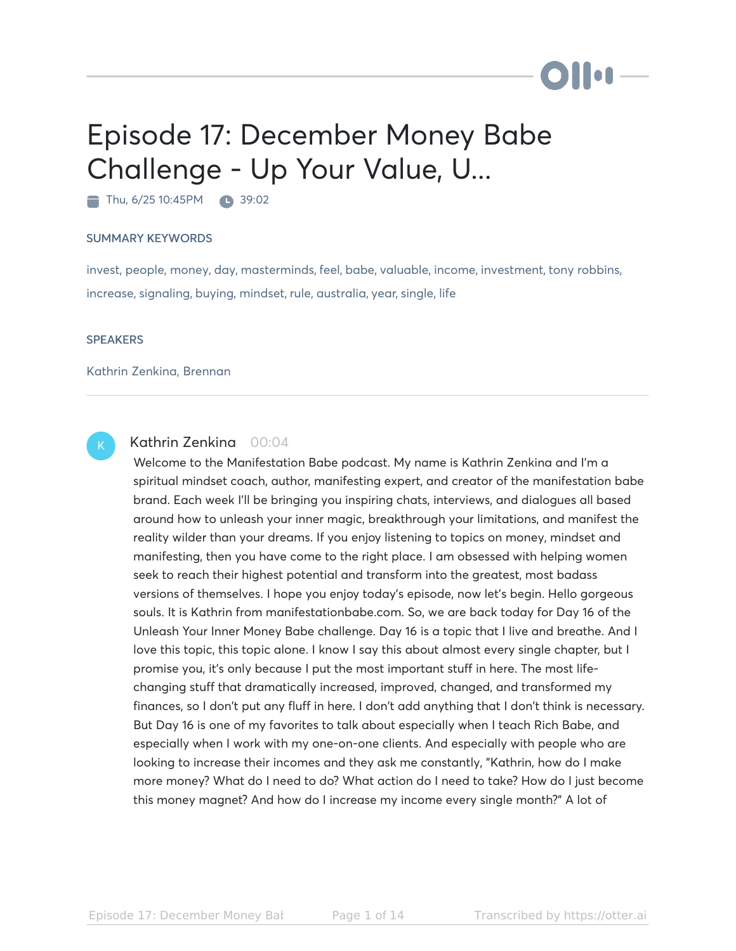# Episode 17: December Money Babe Challenge - Up Your Value, U...

Thu, 6/25 10:45PM 39:02

#### SUMMARY KEYWORDS

invest, people, money, day, masterminds, feel, babe, valuable, income, investment, tony robbins, increase, signaling, buying, mindset, rule, australia, year, single, life

#### **SPEAKERS**

#### Kathrin Zenkina, Brennan



# Kathrin Zenkina 00:04

Welcome to the Manifestation Babe podcast. My name is Kathrin Zenkina and I'm a spiritual mindset coach, author, manifesting expert, and creator of the manifestation babe brand. Each week I'll be bringing you inspiring chats, interviews, and dialogues all based around how to unleash your inner magic, breakthrough your limitations, and manifest the reality wilder than your dreams. If you enjoy listening to topics on money, mindset and manifesting, then you have come to the right place. I am obsessed with helping women seek to reach their highest potential and transform into the greatest, most badass versions of themselves. I hope you enjoy today's episode, now let's begin. Hello gorgeous souls. It is Kathrin from manifestationbabe.com. So, we are back today for Day 16 of the Unleash Your Inner Money Babe challenge. Day 16 is a topic that I live and breathe. And I love this topic, this topic alone. I know I say this about almost every single chapter, but I promise you, it's only because I put the most important stuff in here. The most lifechanging stuff that dramatically increased, improved, changed, and transformed my finances, so I don't put any fluff in here. I don't add anything that I don't think is necessary. But Day 16 is one of my favorites to talk about especially when I teach Rich Babe, and especially when I work with my one-on-one clients. And especially with people who are looking to increase their incomes and they ask me constantly, "Kathrin, how do I make more money? What do I need to do? What action do I need to take? How do I just become this money magnet? And how do I increase my income every single month?" A lot of

**DII:**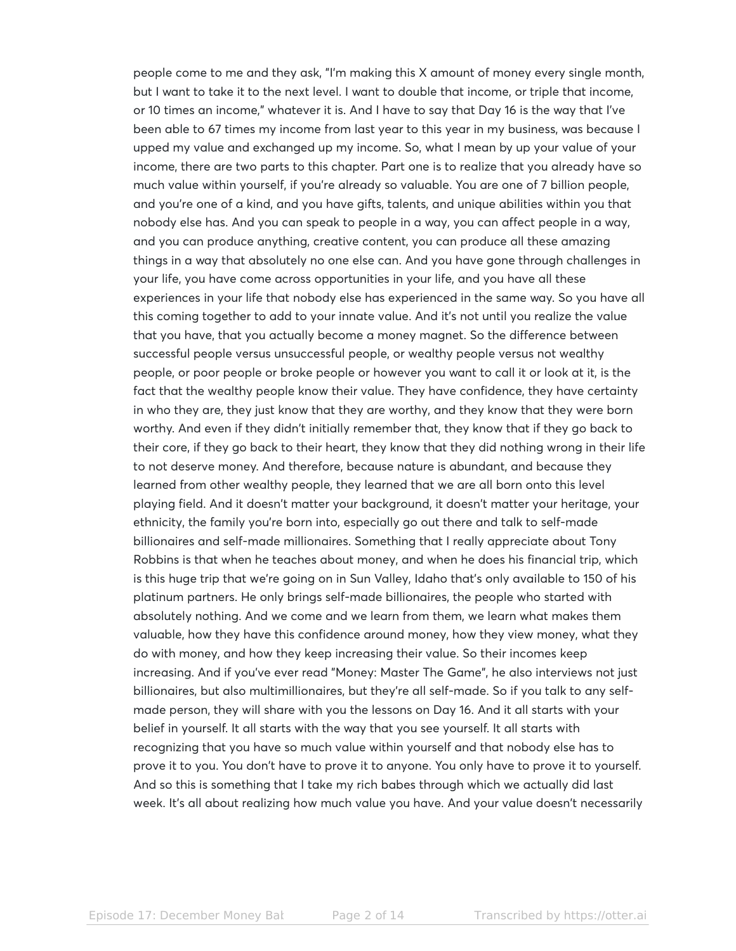people come to me and they ask, "I'm making this X amount of money every single month, but I want to take it to the next level. I want to double that income, or triple that income, or 10 times an income," whatever it is. And I have to say that Day 16 is the way that I've been able to 67 times my income from last year to this year in my business, was because I upped my value and exchanged up my income. So, what I mean by up your value of your income, there are two parts to this chapter. Part one is to realize that you already have so much value within yourself, if you're already so valuable. You are one of 7 billion people, and you're one of a kind, and you have gifts, talents, and unique abilities within you that nobody else has. And you can speak to people in a way, you can affect people in a way, and you can produce anything, creative content, you can produce all these amazing things in a way that absolutely no one else can. And you have gone through challenges in your life, you have come across opportunities in your life, and you have all these experiences in your life that nobody else has experienced in the same way. So you have all this coming together to add to your innate value. And it's not until you realize the value that you have, that you actually become a money magnet. So the difference between successful people versus unsuccessful people, or wealthy people versus not wealthy people, or poor people or broke people or however you want to call it or look at it, is the fact that the wealthy people know their value. They have confidence, they have certainty in who they are, they just know that they are worthy, and they know that they were born worthy. And even if they didn't initially remember that, they know that if they go back to their core, if they go back to their heart, they know that they did nothing wrong in their life to not deserve money. And therefore, because nature is abundant, and because they learned from other wealthy people, they learned that we are all born onto this level playing field. And it doesn't matter your background, it doesn't matter your heritage, your ethnicity, the family you're born into, especially go out there and talk to self-made billionaires and self-made millionaires. Something that I really appreciate about Tony Robbins is that when he teaches about money, and when he does his financial trip, which is this huge trip that we're going on in Sun Valley, Idaho that's only available to 150 of his platinum partners. He only brings self-made billionaires, the people who started with absolutely nothing. And we come and we learn from them, we learn what makes them valuable, how they have this confidence around money, how they view money, what they do with money, and how they keep increasing their value. So their incomes keep increasing. And if you've ever read "Money: Master The Game", he also interviews not just billionaires, but also multimillionaires, but they're all self-made. So if you talk to any selfmade person, they will share with you the lessons on Day 16. And it all starts with your belief in yourself. It all starts with the way that you see yourself. It all starts with recognizing that you have so much value within yourself and that nobody else has to prove it to you. You don't have to prove it to anyone. You only have to prove it to yourself. And so this is something that I take my rich babes through which we actually did last week. It's all about realizing how much value you have. And your value doesn't necessarily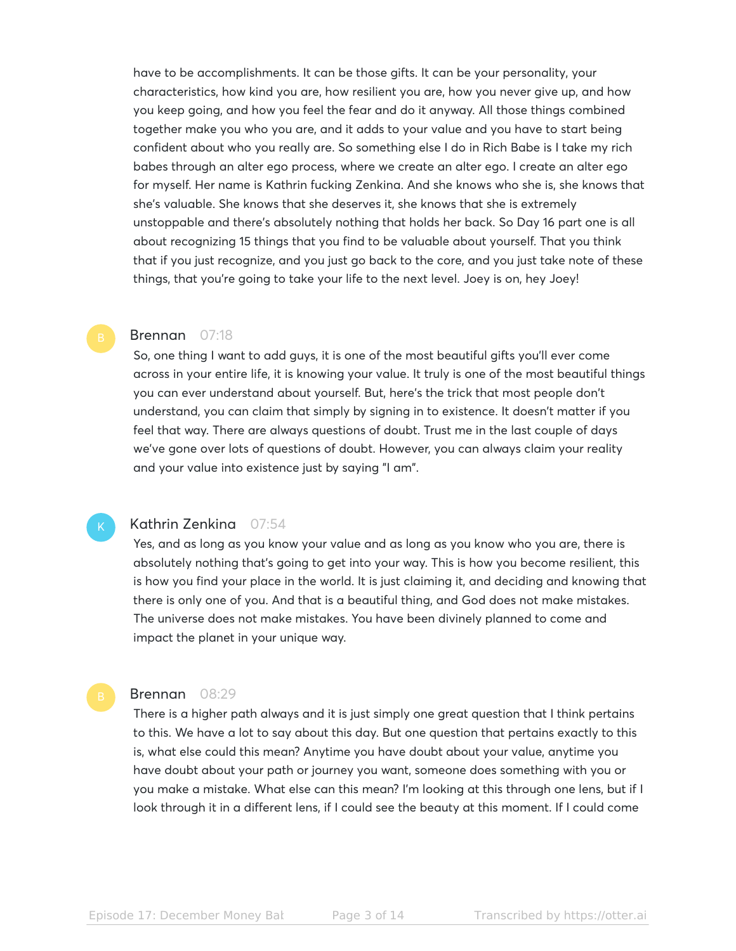have to be accomplishments. It can be those gifts. It can be your personality, your characteristics, how kind you are, how resilient you are, how you never give up, and how you keep going, and how you feel the fear and do it anyway. All those things combined together make you who you are, and it adds to your value and you have to start being confident about who you really are. So something else I do in Rich Babe is I take my rich babes through an alter ego process, where we create an alter ego. I create an alter ego for myself. Her name is Kathrin fucking Zenkina. And she knows who she is, she knows that she's valuable. She knows that she deserves it, she knows that she is extremely unstoppable and there's absolutely nothing that holds her back. So Day 16 part one is all about recognizing 15 things that you find to be valuable about yourself. That you think that if you just recognize, and you just go back to the core, and you just take note of these things, that you're going to take your life to the next level. Joey is on, hey Joey!

# Brennan 07:18

So, one thing I want to add guys, it is one of the most beautiful gifts you'll ever come across in your entire life, it is knowing your value. It truly is one of the most beautiful things you can ever understand about yourself. But, here's the trick that most people don't understand, you can claim that simply by signing in to existence. It doesn't matter if you feel that way. There are always questions of doubt. Trust me in the last couple of days we've gone over lots of questions of doubt. However, you can always claim your reality and your value into existence just by saying "I am".

#### Kathrin Zenkina 07:54

Yes, and as long as you know your value and as long as you know who you are, there is absolutely nothing that's going to get into your way. This is how you become resilient, this is how you find your place in the world. It is just claiming it, and deciding and knowing that there is only one of you. And that is a beautiful thing, and God does not make mistakes. The universe does not make mistakes. You have been divinely planned to come and impact the planet in your unique way.

### Brennan 08:29

There is a higher path always and it is just simply one great question that I think pertains to this. We have a lot to say about this day. But one question that pertains exactly to this is, what else could this mean? Anytime you have doubt about your value, anytime you have doubt about your path or journey you want, someone does something with you or you make a mistake. What else can this mean? I'm looking at this through one lens, but if I look through it in a different lens, if I could see the beauty at this moment. If I could come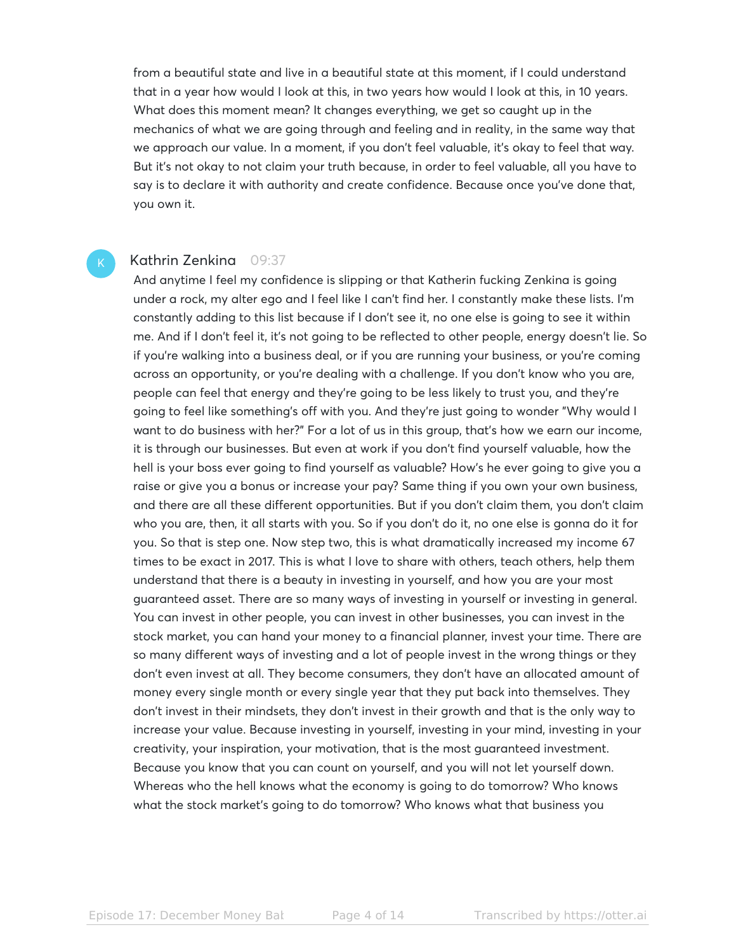from a beautiful state and live in a beautiful state at this moment, if I could understand that in a year how would I look at this, in two years how would I look at this, in 10 years. What does this moment mean? It changes everything, we get so caught up in the mechanics of what we are going through and feeling and in reality, in the same way that we approach our value. In a moment, if you don't feel valuable, it's okay to feel that way. But it's not okay to not claim your truth because, in order to feel valuable, all you have to say is to declare it with authority and create confidence. Because once you've done that, you own it.

### Kathrin Zenkina 09:37

And anytime I feel my confidence is slipping or that Katherin fucking Zenkina is going under a rock, my alter ego and I feel like I can't find her. I constantly make these lists. I'm constantly adding to this list because if I don't see it, no one else is going to see it within me. And if I don't feel it, it's not going to be reflected to other people, energy doesn't lie. So if you're walking into a business deal, or if you are running your business, or you're coming across an opportunity, or you're dealing with a challenge. If you don't know who you are, people can feel that energy and they're going to be less likely to trust you, and they're going to feel like something's off with you. And they're just going to wonder "Why would I want to do business with her?" For a lot of us in this group, that's how we earn our income, it is through our businesses. But even at work if you don't find yourself valuable, how the hell is your boss ever going to find yourself as valuable? How's he ever going to give you a raise or give you a bonus or increase your pay? Same thing if you own your own business, and there are all these different opportunities. But if you don't claim them, you don't claim who you are, then, it all starts with you. So if you don't do it, no one else is gonna do it for you. So that is step one. Now step two, this is what dramatically increased my income 67 times to be exact in 2017. This is what I love to share with others, teach others, help them understand that there is a beauty in investing in yourself, and how you are your most guaranteed asset. There are so many ways of investing in yourself or investing in general. You can invest in other people, you can invest in other businesses, you can invest in the stock market, you can hand your money to a financial planner, invest your time. There are so many different ways of investing and a lot of people invest in the wrong things or they don't even invest at all. They become consumers, they don't have an allocated amount of money every single month or every single year that they put back into themselves. They don't invest in their mindsets, they don't invest in their growth and that is the only way to increase your value. Because investing in yourself, investing in your mind, investing in your creativity, your inspiration, your motivation, that is the most guaranteed investment. Because you know that you can count on yourself, and you will not let yourself down. Whereas who the hell knows what the economy is going to do tomorrow? Who knows what the stock market's going to do tomorrow? Who knows what that business you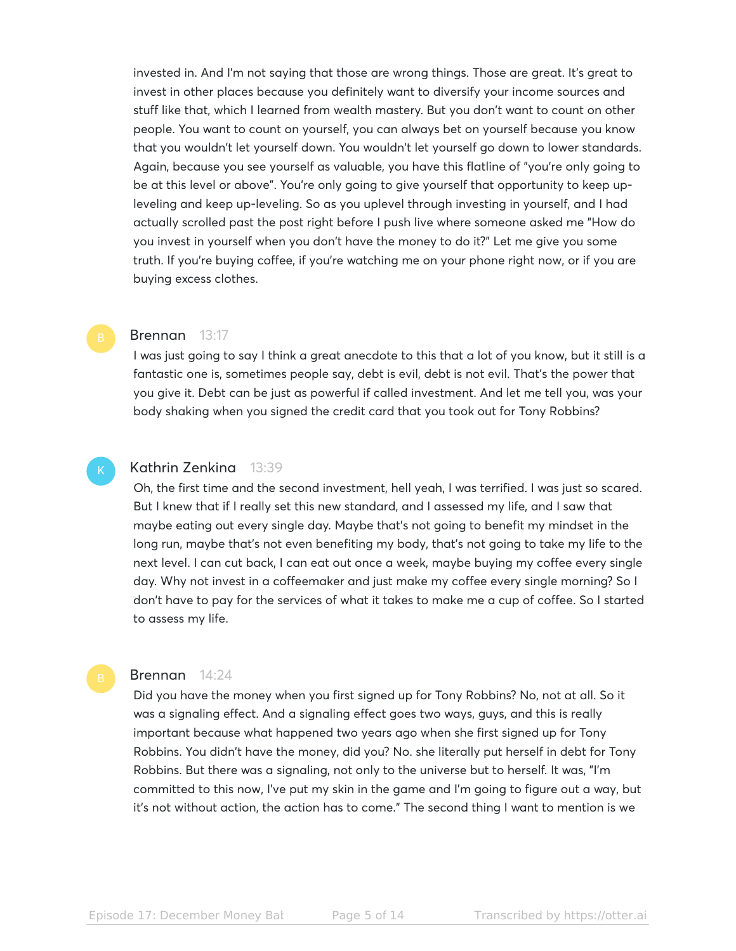invested in. And I'm not saying that those are wrong things. Those are great. It's great to invest in other places because you definitely want to diversify your income sources and stuff like that, which I learned from wealth mastery. But you don't want to count on other people. You want to count on yourself, you can always bet on yourself because you know that you wouldn't let yourself down. You wouldn't let yourself go down to lower standards. Again, because you see yourself as valuable, you have this flatline of "you're only going to be at this level or above". You're only going to give yourself that opportunity to keep upleveling and keep up-leveling. So as you uplevel through investing in yourself, and I had actually scrolled past the post right before I push live where someone asked me "How do you invest in yourself when you don't have the money to do it?" Let me give you some truth. If you're buying coffee, if you're watching me on your phone right now, or if you are buying excess clothes.

# Brennan 13:17

I was just going to say I think a great anecdote to this that a lot of you know, but it still is a fantastic one is, sometimes people say, debt is evil, debt is not evil. That's the power that you give it. Debt can be just as powerful if called investment. And let me tell you, was your body shaking when you signed the credit card that you took out for Tony Robbins?

#### Kathrin Zenkina 13:39

Oh, the first time and the second investment, hell yeah, I was terrified. I was just so scared. But I knew that if I really set this new standard, and I assessed my life, and I saw that maybe eating out every single day. Maybe that's not going to benefit my mindset in the long run, maybe that's not even benefiting my body, that's not going to take my life to the next level. I can cut back, I can eat out once a week, maybe buying my coffee every single day. Why not invest in a coffeemaker and just make my coffee every single morning? So I don't have to pay for the services of what it takes to make me a cup of coffee. So I started to assess my life.

#### Brennan 14:24

Did you have the money when you first signed up for Tony Robbins? No, not at all. So it was a signaling effect. And a signaling effect goes two ways, guys, and this is really important because what happened two years ago when she first signed up for Tony Robbins. You didn't have the money, did you? No. she literally put herself in debt for Tony Robbins. But there was a signaling, not only to the universe but to herself. It was, "I'm committed to this now, I've put my skin in the game and I'm going to figure out a way, but it's not without action, the action has to come." The second thing I want to mention is we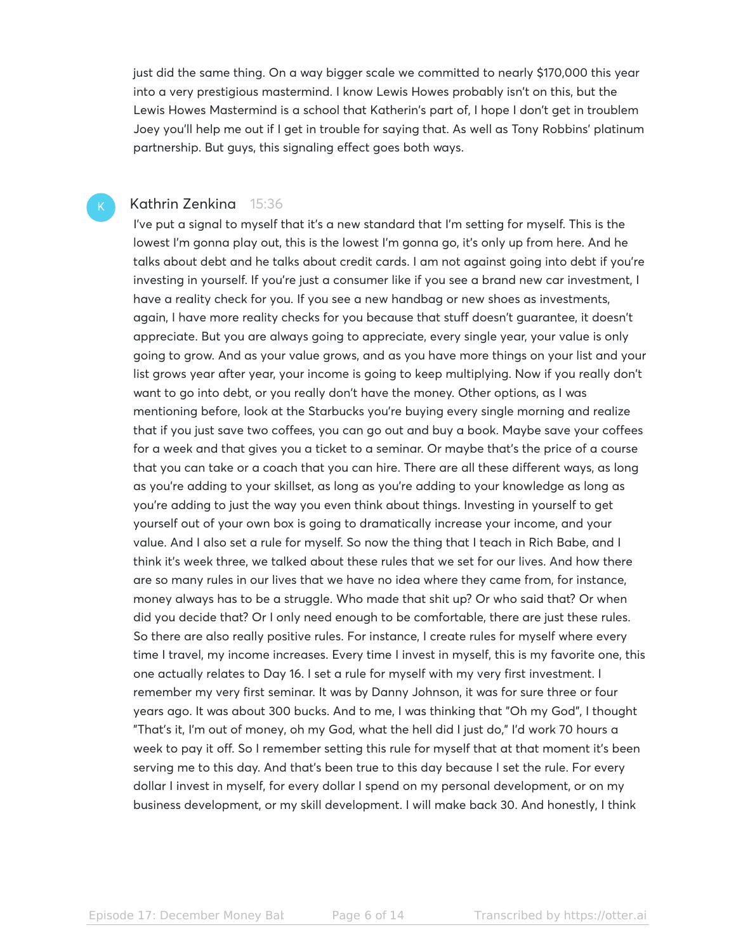just did the same thing. On a way bigger scale we committed to nearly \$170,000 this year into a very prestigious mastermind. I know Lewis Howes probably isn't on this, but the Lewis Howes Mastermind is a school that Katherin's part of, I hope I don't get in troublem Joey you'll help me out if I get in trouble for saying that. As well as Tony Robbins' platinum partnership. But guys, this signaling effect goes both ways.

# Kathrin Zenkina 15:36

I've put a signal to myself that it's a new standard that I'm setting for myself. This is the lowest I'm gonna play out, this is the lowest I'm gonna go, it's only up from here. And he talks about debt and he talks about credit cards. I am not against going into debt if you're investing in yourself. If you're just a consumer like if you see a brand new car investment, I have a reality check for you. If you see a new handbag or new shoes as investments, again, I have more reality checks for you because that stuff doesn't guarantee, it doesn't appreciate. But you are always going to appreciate, every single year, your value is only going to grow. And as your value grows, and as you have more things on your list and your list grows year after year, your income is going to keep multiplying. Now if you really don't want to go into debt, or you really don't have the money. Other options, as I was mentioning before, look at the Starbucks you're buying every single morning and realize that if you just save two coffees, you can go out and buy a book. Maybe save your coffees for a week and that gives you a ticket to a seminar. Or maybe that's the price of a course that you can take or a coach that you can hire. There are all these different ways, as long as you're adding to your skillset, as long as you're adding to your knowledge as long as you're adding to just the way you even think about things. Investing in yourself to get yourself out of your own box is going to dramatically increase your income, and your value. And I also set a rule for myself. So now the thing that I teach in Rich Babe, and I think it's week three, we talked about these rules that we set for our lives. And how there are so many rules in our lives that we have no idea where they came from, for instance, money always has to be a struggle. Who made that shit up? Or who said that? Or when did you decide that? Or I only need enough to be comfortable, there are just these rules. So there are also really positive rules. For instance, I create rules for myself where every time I travel, my income increases. Every time I invest in myself, this is my favorite one, this one actually relates to Day 16. I set a rule for myself with my very first investment. I remember my very first seminar. It was by Danny Johnson, it was for sure three or four years ago. It was about 300 bucks. And to me, I was thinking that "Oh my God", I thought "That's it, I'm out of money, oh my God, what the hell did I just do," I'd work 70 hours a week to pay it off. So I remember setting this rule for myself that at that moment it's been serving me to this day. And that's been true to this day because I set the rule. For every dollar I invest in myself, for every dollar I spend on my personal development, or on my business development, or my skill development. I will make back 30. And honestly, I think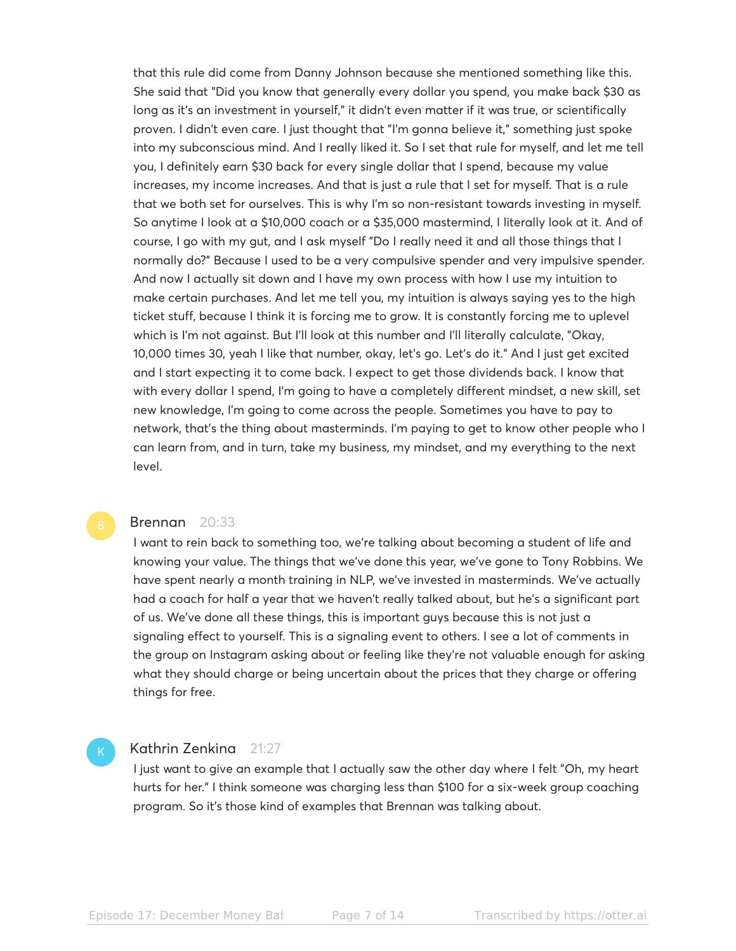that this rule did come from Danny Johnson because she mentioned something like this. She said that "Did you know that generally every dollar you spend, you make back \$30 as long as it's an investment in yourself," it didn't even matter if it was true, or scientifically proven. I didn't even care. I just thought that "I'm gonna believe it," something just spoke into my subconscious mind. And I really liked it. So I set that rule for myself, and let me tell you, I definitely earn \$30 back for every single dollar that I spend, because my value increases, my income increases. And that is just a rule that I set for myself. That is a rule that we both set for ourselves. This is why I'm so non-resistant towards investing in myself. So anytime I look at a \$10,000 coach or a \$35,000 mastermind, I literally look at it. And of course, I go with my gut, and I ask myself "Do I really need it and all those things that I normally do?" Because I used to be a very compulsive spender and very impulsive spender. And now I actually sit down and I have my own process with how I use my intuition to make certain purchases. And let me tell you, my intuition is always saying yes to the high ticket stuff, because I think it is forcing me to grow. It is constantly forcing me to uplevel which is I'm not against. But I'll look at this number and I'll literally calculate, "Okay, 10,000 times 30, yeah I like that number, okay, let's go. Let's do it." And I just get excited and I start expecting it to come back. I expect to get those dividends back. I know that with every dollar I spend, I'm going to have a completely different mindset, a new skill, set new knowledge, I'm going to come across the people. Sometimes you have to pay to network, that's the thing about masterminds. I'm paying to get to know other people who I can learn from, and in turn, take my business, my mindset, and my everything to the next level.

#### Brennan 20:33

I want to rein back to something too, we're talking about becoming a student of life and knowing your value. The things that we've done this year, we've gone to Tony Robbins. We have spent nearly a month training in NLP, we've invested in masterminds. We've actually had a coach for half a year that we haven't really talked about, but he's a significant part of us. We've done all these things, this is important guys because this is not just a signaling effect to yourself. This is a signaling event to others. I see a lot of comments in the group on Instagram asking about or feeling like they're not valuable enough for asking what they should charge or being uncertain about the prices that they charge or offering things for free.

# Kathrin Zenkina 21:27

I just want to give an example that I actually saw the other day where I felt "Oh, my heart hurts for her." I think someone was charging less than \$100 for a six-week group coaching program. So it's those kind of examples that Brennan was talking about.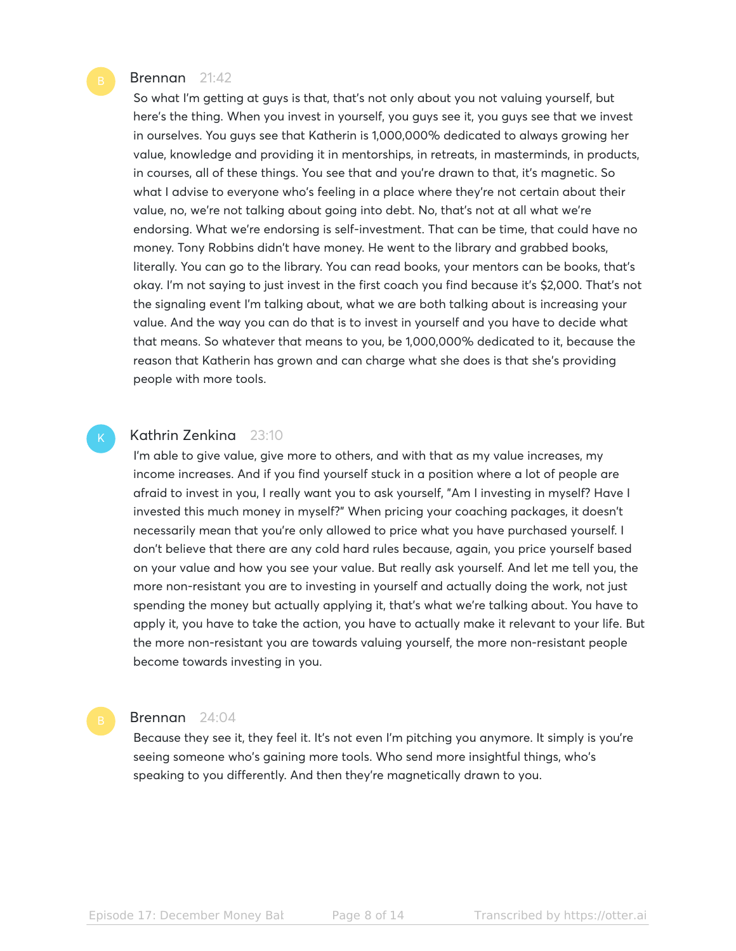# Brennan 21:42

So what I'm getting at guys is that, that's not only about you not valuing yourself, but here's the thing. When you invest in yourself, you guys see it, you guys see that we invest in ourselves. You guys see that Katherin is 1,000,000% dedicated to always growing her value, knowledge and providing it in mentorships, in retreats, in masterminds, in products, in courses, all of these things. You see that and you're drawn to that, it's magnetic. So what I advise to everyone who's feeling in a place where they're not certain about their value, no, we're not talking about going into debt. No, that's not at all what we're endorsing. What we're endorsing is self-investment. That can be time, that could have no money. Tony Robbins didn't have money. He went to the library and grabbed books, literally. You can go to the library. You can read books, your mentors can be books, that's okay. I'm not saying to just invest in the first coach you find because it's \$2,000. That's not the signaling event I'm talking about, what we are both talking about is increasing your value. And the way you can do that is to invest in yourself and you have to decide what that means. So whatever that means to you, be 1,000,000% dedicated to it, because the reason that Katherin has grown and can charge what she does is that she's providing people with more tools.

# Kathrin Zenkina 23:10

I'm able to give value, give more to others, and with that as my value increases, my income increases. And if you find yourself stuck in a position where a lot of people are afraid to invest in you, I really want you to ask yourself, "Am I investing in myself? Have I invested this much money in myself?" When pricing your coaching packages, it doesn't necessarily mean that you're only allowed to price what you have purchased yourself. I don't believe that there are any cold hard rules because, again, you price yourself based on your value and how you see your value. But really ask yourself. And let me tell you, the more non-resistant you are to investing in yourself and actually doing the work, not just spending the money but actually applying it, that's what we're talking about. You have to apply it, you have to take the action, you have to actually make it relevant to your life. But the more non-resistant you are towards valuing yourself, the more non-resistant people become towards investing in you.

#### Brennan 24:04

Because they see it, they feel it. It's not even I'm pitching you anymore. It simply is you're seeing someone who's gaining more tools. Who send more insightful things, who's speaking to you differently. And then they're magnetically drawn to you.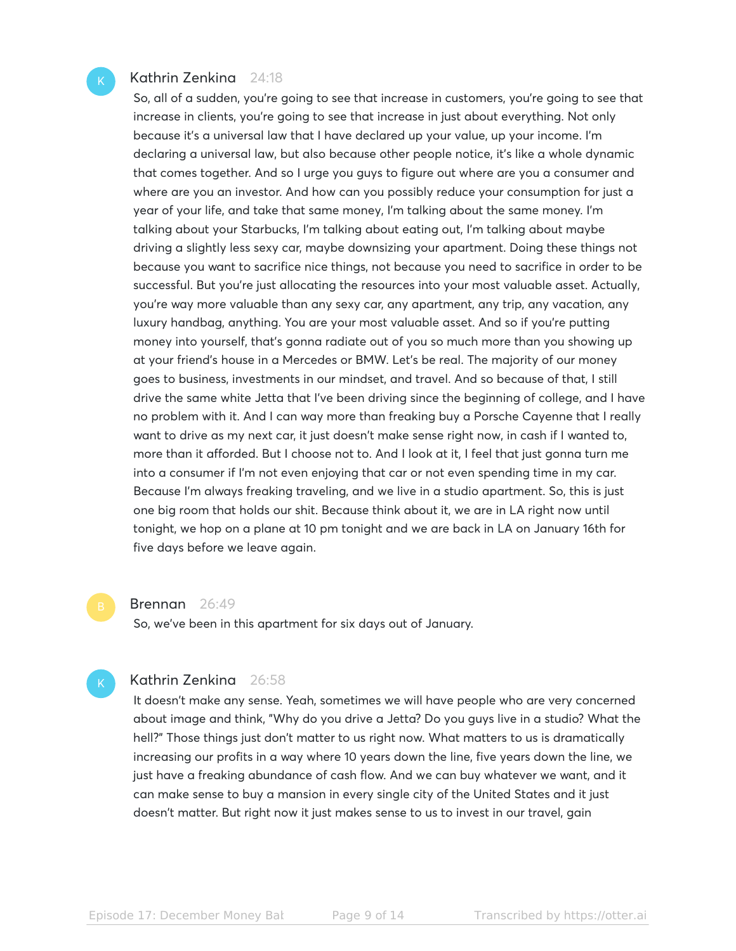# Kathrin Zenkina 24:18

So, all of a sudden, you're going to see that increase in customers, you're going to see that increase in clients, you're going to see that increase in just about everything. Not only because it's a universal law that I have declared up your value, up your income. I'm declaring a universal law, but also because other people notice, it's like a whole dynamic that comes together. And so I urge you guys to figure out where are you a consumer and where are you an investor. And how can you possibly reduce your consumption for just a year of your life, and take that same money, I'm talking about the same money. I'm talking about your Starbucks, I'm talking about eating out, I'm talking about maybe driving a slightly less sexy car, maybe downsizing your apartment. Doing these things not because you want to sacrifice nice things, not because you need to sacrifice in order to be successful. But you're just allocating the resources into your most valuable asset. Actually, you're way more valuable than any sexy car, any apartment, any trip, any vacation, any luxury handbag, anything. You are your most valuable asset. And so if you're putting money into yourself, that's gonna radiate out of you so much more than you showing up at your friend's house in a Mercedes or BMW. Let's be real. The majority of our money goes to business, investments in our mindset, and travel. And so because of that, I still drive the same white Jetta that I've been driving since the beginning of college, and I have no problem with it. And I can way more than freaking buy a Porsche Cayenne that I really want to drive as my next car, it just doesn't make sense right now, in cash if I wanted to, more than it afforded. But I choose not to. And I look at it, I feel that just gonna turn me into a consumer if I'm not even enjoying that car or not even spending time in my car. Because I'm always freaking traveling, and we live in a studio apartment. So, this is just one big room that holds our shit. Because think about it, we are in LA right now until tonight, we hop on a plane at 10 pm tonight and we are back in LA on January 16th for five days before we leave again.

#### Brennan 26:49

So, we've been in this apartment for six days out of January.

# Kathrin Zenkina 26:58

It doesn't make any sense. Yeah, sometimes we will have people who are very concerned about image and think, "Why do you drive a Jetta? Do you guys live in a studio? What the hell?" Those things just don't matter to us right now. What matters to us is dramatically increasing our profits in a way where 10 years down the line, five years down the line, we just have a freaking abundance of cash flow. And we can buy whatever we want, and it can make sense to buy a mansion in every single city of the United States and it just doesn't matter. But right now it just makes sense to us to invest in our travel, gain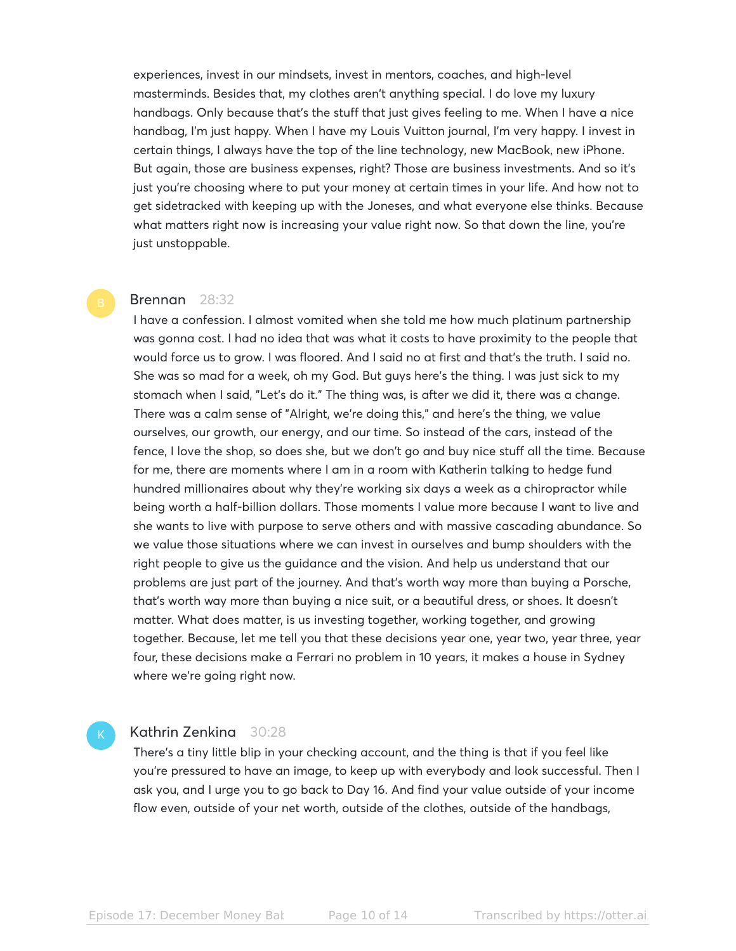experiences, invest in our mindsets, invest in mentors, coaches, and high-level masterminds. Besides that, my clothes aren't anything special. I do love my luxury handbags. Only because that's the stuff that just gives feeling to me. When I have a nice handbag, I'm just happy. When I have my Louis Vuitton journal, I'm very happy. I invest in certain things, I always have the top of the line technology, new MacBook, new iPhone. But again, those are business expenses, right? Those are business investments. And so it's just you're choosing where to put your money at certain times in your life. And how not to get sidetracked with keeping up with the Joneses, and what everyone else thinks. Because what matters right now is increasing your value right now. So that down the line, you're just unstoppable.

### Brennan 28:32

I have a confession. I almost vomited when she told me how much platinum partnership was gonna cost. I had no idea that was what it costs to have proximity to the people that would force us to grow. I was floored. And I said no at first and that's the truth. I said no. She was so mad for a week, oh my God. But guys here's the thing. I was just sick to my stomach when I said, "Let's do it." The thing was, is after we did it, there was a change. There was a calm sense of "Alright, we're doing this," and here's the thing, we value ourselves, our growth, our energy, and our time. So instead of the cars, instead of the fence, I love the shop, so does she, but we don't go and buy nice stuff all the time. Because for me, there are moments where I am in a room with Katherin talking to hedge fund hundred millionaires about why they're working six days a week as a chiropractor while being worth a half-billion dollars. Those moments I value more because I want to live and she wants to live with purpose to serve others and with massive cascading abundance. So we value those situations where we can invest in ourselves and bump shoulders with the right people to give us the guidance and the vision. And help us understand that our problems are just part of the journey. And that's worth way more than buying a Porsche, that's worth way more than buying a nice suit, or a beautiful dress, or shoes. It doesn't matter. What does matter, is us investing together, working together, and growing together. Because, let me tell you that these decisions year one, year two, year three, year four, these decisions make a Ferrari no problem in 10 years, it makes a house in Sydney where we're going right now.

# Kathrin Zenkina 30:28

There's a tiny little blip in your checking account, and the thing is that if you feel like you're pressured to have an image, to keep up with everybody and look successful. Then I ask you, and I urge you to go back to Day 16. And find your value outside of your income flow even, outside of your net worth, outside of the clothes, outside of the handbags,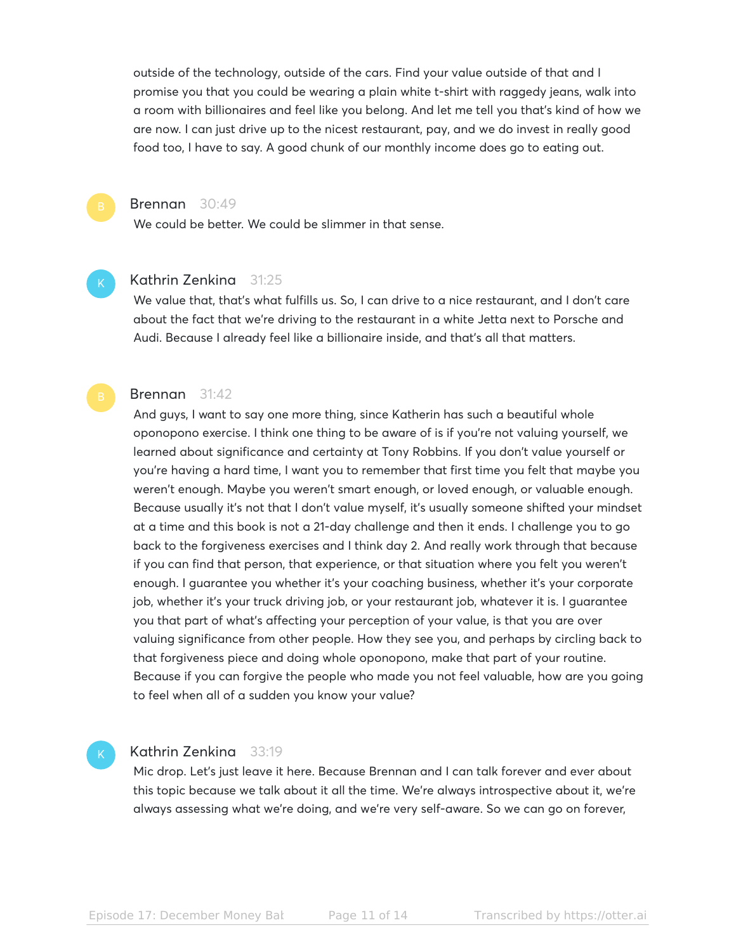outside of the technology, outside of the cars. Find your value outside of that and I promise you that you could be wearing a plain white t-shirt with raggedy jeans, walk into a room with billionaires and feel like you belong. And let me tell you that's kind of how we are now. I can just drive up to the nicest restaurant, pay, and we do invest in really good food too, I have to say. A good chunk of our monthly income does go to eating out.

# Brennan 30:49

We could be better. We could be slimmer in that sense.

#### Kathrin Zenkina 31:25

We value that, that's what fulfills us. So, I can drive to a nice restaurant, and I don't care about the fact that we're driving to the restaurant in a white Jetta next to Porsche and Audi. Because I already feel like a billionaire inside, and that's all that matters.

# Brennan 31:42

And guys, I want to say one more thing, since Katherin has such a beautiful whole oponopono exercise. I think one thing to be aware of is if you're not valuing yourself, we learned about significance and certainty at Tony Robbins. If you don't value yourself or you're having a hard time, I want you to remember that first time you felt that maybe you weren't enough. Maybe you weren't smart enough, or loved enough, or valuable enough. Because usually it's not that I don't value myself, it's usually someone shifted your mindset at a time and this book is not a 21-day challenge and then it ends. I challenge you to go back to the forgiveness exercises and I think day 2. And really work through that because if you can find that person, that experience, or that situation where you felt you weren't enough. I guarantee you whether it's your coaching business, whether it's your corporate job, whether it's your truck driving job, or your restaurant job, whatever it is. I guarantee you that part of what's affecting your perception of your value, is that you are over valuing significance from other people. How they see you, and perhaps by circling back to that forgiveness piece and doing whole oponopono, make that part of your routine. Because if you can forgive the people who made you not feel valuable, how are you going to feel when all of a sudden you know your value?

### Kathrin Zenkina 33:19

Mic drop. Let's just leave it here. Because Brennan and I can talk forever and ever about this topic because we talk about it all the time. We're always introspective about it, we're always assessing what we're doing, and we're very self-aware. So we can go on forever,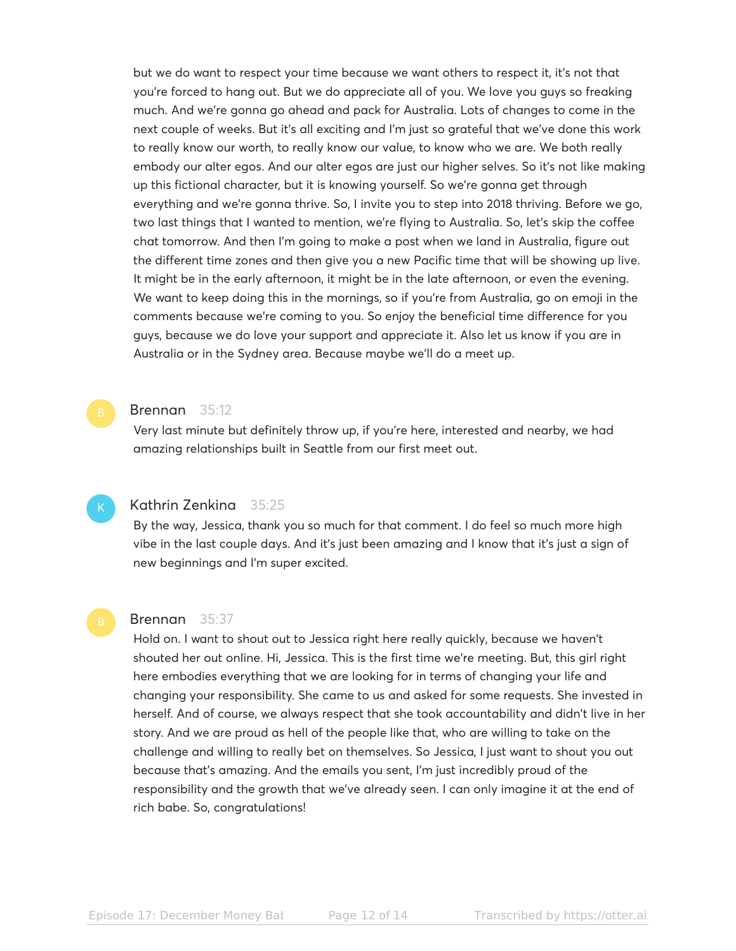but we do want to respect your time because we want others to respect it, it's not that you're forced to hang out. But we do appreciate all of you. We love you guys so freaking much. And we're gonna go ahead and pack for Australia. Lots of changes to come in the next couple of weeks. But it's all exciting and I'm just so grateful that we've done this work to really know our worth, to really know our value, to know who we are. We both really embody our alter egos. And our alter egos are just our higher selves. So it's not like making up this fictional character, but it is knowing yourself. So we're gonna get through everything and we're gonna thrive. So, I invite you to step into 2018 thriving. Before we go, two last things that I wanted to mention, we're flying to Australia. So, let's skip the coffee chat tomorrow. And then I'm going to make a post when we land in Australia, figure out the different time zones and then give you a new Pacific time that will be showing up live. It might be in the early afternoon, it might be in the late afternoon, or even the evening. We want to keep doing this in the mornings, so if you're from Australia, go on emoji in the comments because we're coming to you. So enjoy the beneficial time difference for you guys, because we do love your support and appreciate it. Also let us know if you are in Australia or in the Sydney area. Because maybe we'll do a meet up.

### Brennan 35:12

Very last minute but definitely throw up, if you're here, interested and nearby, we had amazing relationships built in Seattle from our first meet out.

# Kathrin Zenkina 35:25

By the way, Jessica, thank you so much for that comment. I do feel so much more high vibe in the last couple days. And it's just been amazing and I know that it's just a sign of new beginnings and I'm super excited.

#### Brennan 35:37

Hold on. I want to shout out to Jessica right here really quickly, because we haven't shouted her out online. Hi, Jessica. This is the first time we're meeting. But, this girl right here embodies everything that we are looking for in terms of changing your life and changing your responsibility. She came to us and asked for some requests. She invested in herself. And of course, we always respect that she took accountability and didn't live in her story. And we are proud as hell of the people like that, who are willing to take on the challenge and willing to really bet on themselves. So Jessica, I just want to shout you out because that's amazing. And the emails you sent, I'm just incredibly proud of the responsibility and the growth that we've already seen. I can only imagine it at the end of rich babe. So, congratulations!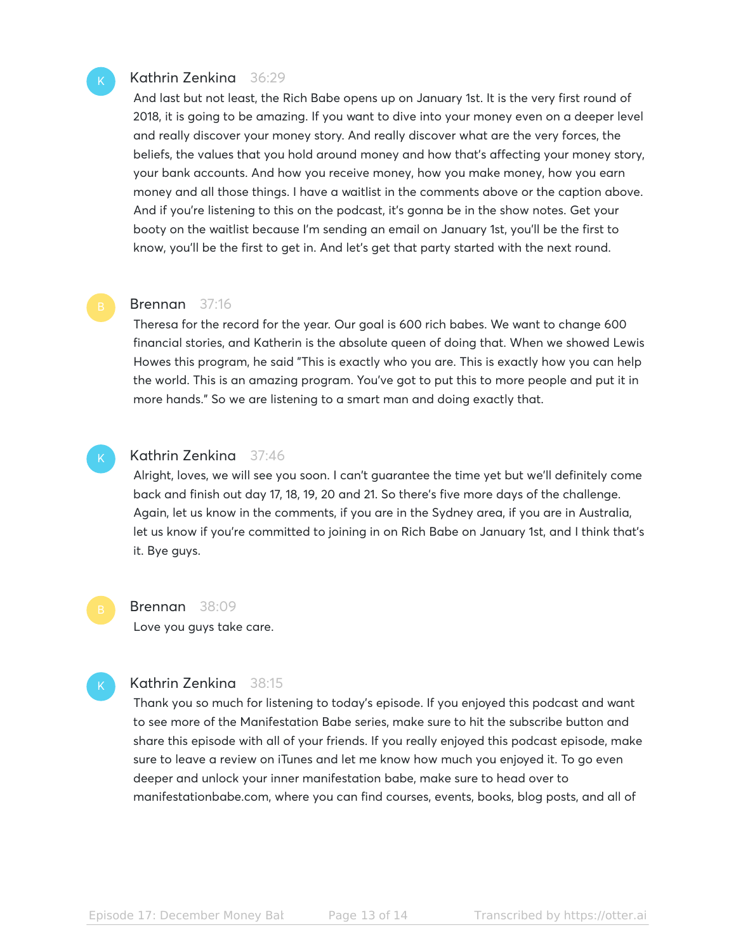# Kathrin Zenkina 36:29

And last but not least, the Rich Babe opens up on January 1st. It is the very first round of 2018, it is going to be amazing. If you want to dive into your money even on a deeper level and really discover your money story. And really discover what are the very forces, the beliefs, the values that you hold around money and how that's affecting your money story, your bank accounts. And how you receive money, how you make money, how you earn money and all those things. I have a waitlist in the comments above or the caption above. And if you're listening to this on the podcast, it's gonna be in the show notes. Get your booty on the waitlist because I'm sending an email on January 1st, you'll be the first to know, you'll be the first to get in. And let's get that party started with the next round.

#### Brennan 37:16

Theresa for the record for the year. Our goal is 600 rich babes. We want to change 600 financial stories, and Katherin is the absolute queen of doing that. When we showed Lewis Howes this program, he said "This is exactly who you are. This is exactly how you can help the world. This is an amazing program. You've got to put this to more people and put it in more hands." So we are listening to a smart man and doing exactly that.

# Kathrin Zenkina 37:46

Alright, loves, we will see you soon. I can't guarantee the time yet but we'll definitely come back and finish out day 17, 18, 19, 20 and 21. So there's five more days of the challenge. Again, let us know in the comments, if you are in the Sydney area, if you are in Australia, let us know if you're committed to joining in on Rich Babe on January 1st, and I think that's it. Bye guys.

Brennan 38:09 Love you guys take care.

# Kathrin Zenkina 38:15

Thank you so much for listening to today's episode. If you enjoyed this podcast and want to see more of the Manifestation Babe series, make sure to hit the subscribe button and share this episode with all of your friends. If you really enjoyed this podcast episode, make sure to leave a review on iTunes and let me know how much you enjoyed it. To go even deeper and unlock your inner manifestation babe, make sure to head over to manifestationbabe.com, where you can find courses, events, books, blog posts, and all of